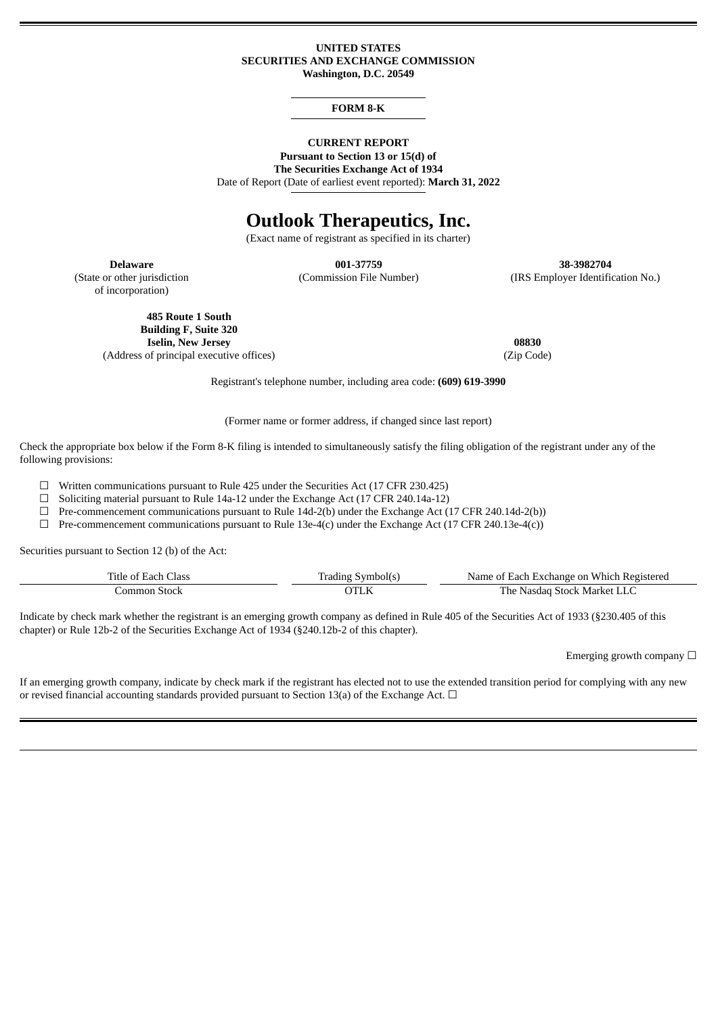#### **UNITED STATES SECURITIES AND EXCHANGE COMMISSION Washington, D.C. 20549**

### **FORM 8-K**

## **CURRENT REPORT**

**Pursuant to Section 13 or 15(d) of The Securities Exchange Act of 1934**

Date of Report (Date of earliest event reported): **March 31, 2022**

# **Outlook Therapeutics, Inc.**

(Exact name of registrant as specified in its charter)

(State or other jurisdiction of incorporation)

**Delaware 001-37759 38-3982704** (Commission File Number) (IRS Employer Identification No.)

**485 Route 1 South Building F, Suite 320 Iselin, New Jersey 08830** (Address of principal executive offices) (Zip Code)

Registrant's telephone number, including area code: **(609) 619-3990**

(Former name or former address, if changed since last report)

Check the appropriate box below if the Form 8-K filing is intended to simultaneously satisfy the filing obligation of the registrant under any of the following provisions:

☐ Written communications pursuant to Rule 425 under the Securities Act (17 CFR 230.425)

 $\Box$  Soliciting material pursuant to Rule 14a-12 under the Exchange Act (17 CFR 240.14a-12)

 $\Box$  Pre-commencement communications pursuant to Rule 14d-2(b) under the Exchange Act (17 CFR 240.14d-2(b))

 $\Box$  Pre-commencement communications pursuant to Rule 13e-4(c) under the Exchange Act (17 CFR 240.13e-4(c))

Securities pursuant to Section 12 (b) of the Act:

| Title of Each Class | Trading Symbol(s) | Name of Each Exchange on Which Registered |
|---------------------|-------------------|-------------------------------------------|
| -Stock<br>.ommon    |                   | The Nasdag Stock Market LLC               |

Indicate by check mark whether the registrant is an emerging growth company as defined in Rule 405 of the Securities Act of 1933 (§230.405 of this chapter) or Rule 12b-2 of the Securities Exchange Act of 1934 (§240.12b-2 of this chapter).

Emerging growth company  $\Box$ 

If an emerging growth company, indicate by check mark if the registrant has elected not to use the extended transition period for complying with any new or revised financial accounting standards provided pursuant to Section 13(a) of the Exchange Act.  $\Box$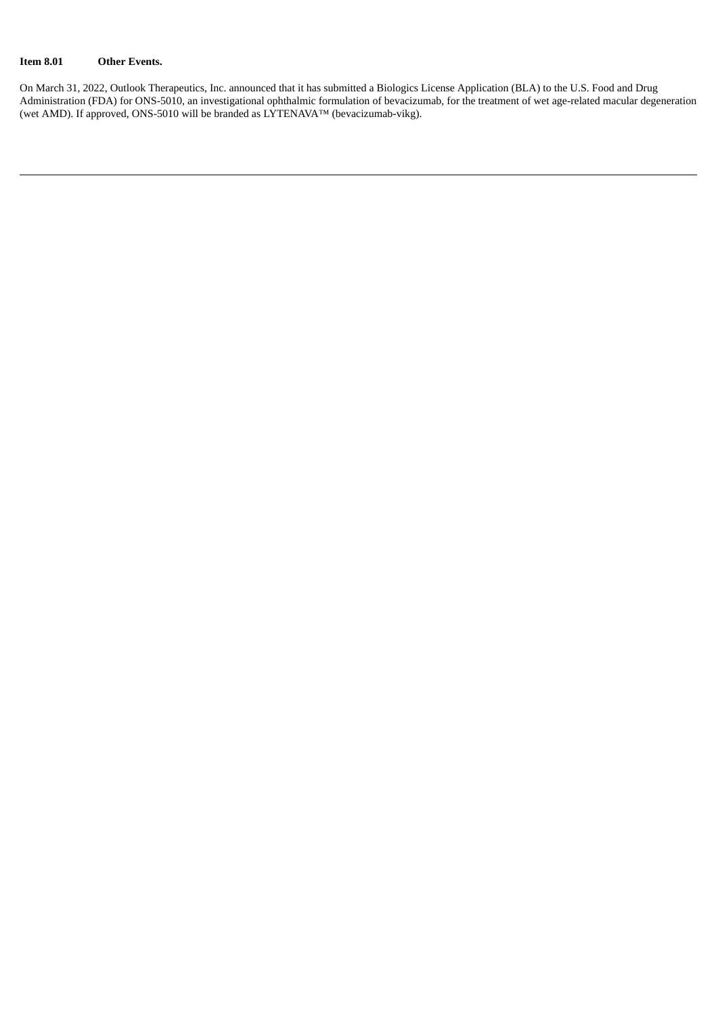### **Item 8.01 Other Events.**

On March 31, 2022, Outlook Therapeutics, Inc. announced that it has submitted a Biologics License Application (BLA) to the U.S. Food and Drug Administration (FDA) for ONS-5010, an investigational ophthalmic formulation of bevacizumab, for the treatment of wet age-related macular degeneration (wet AMD). If approved, ONS-5010 will be branded as LYTENAVA™ (bevacizumab-vikg).